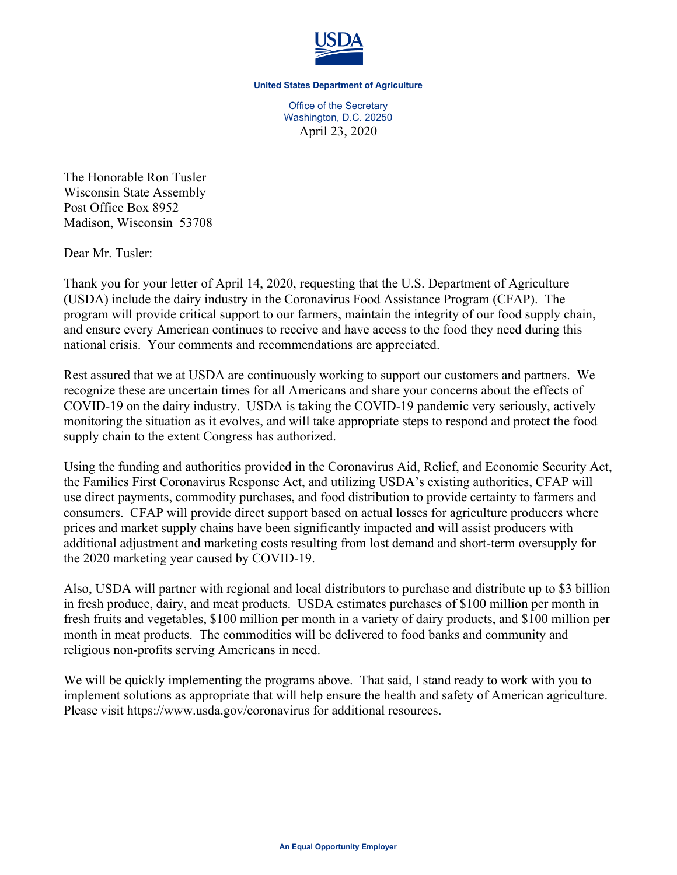

**United States Department of Agriculture**

Office of the Secretary Washington, D.C. 20250 April 23, 2020

The Honorable Ron Tusler Wisconsin State Assembly Post Office Box 8952 Madison, Wisconsin 53708

Dear Mr. Tusler:

Thank you for your letter of April 14, 2020, requesting that the U.S. Department of Agriculture (USDA) include the dairy industry in the Coronavirus Food Assistance Program (CFAP). The program will provide critical support to our farmers, maintain the integrity of our food supply chain, and ensure every American continues to receive and have access to the food they need during this national crisis. Your comments and recommendations are appreciated.

Rest assured that we at USDA are continuously working to support our customers and partners. We recognize these are uncertain times for all Americans and share your concerns about the effects of COVID-19 on the dairy industry. USDA is taking the COVID-19 pandemic very seriously, actively monitoring the situation as it evolves, and will take appropriate steps to respond and protect the food supply chain to the extent Congress has authorized.

Using the funding and authorities provided in the Coronavirus Aid, Relief, and Economic Security Act, the Families First Coronavirus Response Act, and utilizing USDA's existing authorities, CFAP will use direct payments, commodity purchases, and food distribution to provide certainty to farmers and consumers. CFAP will provide direct support based on actual losses for agriculture producers where prices and market supply chains have been significantly impacted and will assist producers with additional adjustment and marketing costs resulting from lost demand and short-term oversupply for the 2020 marketing year caused by COVID-19.

Also, USDA will partner with regional and local distributors to purchase and distribute up to \$3 billion in fresh produce, dairy, and meat products. USDA estimates purchases of \$100 million per month in fresh fruits and vegetables, \$100 million per month in a variety of dairy products, and \$100 million per month in meat products. The commodities will be delivered to food banks and community and religious non-profits serving Americans in need.

We will be quickly implementing the programs above. That said, I stand ready to work with you to implement solutions as appropriate that will help ensure the health and safety of American agriculture. Please visit https://www.usda.gov/coronavirus for additional resources.